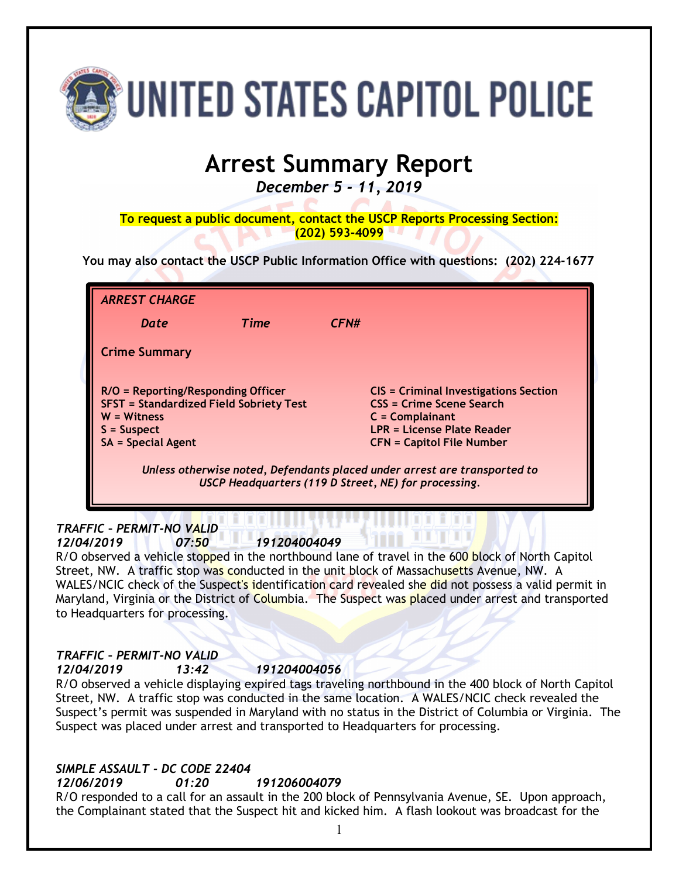

# **Arrest Summary Report**

*December 5 - 11, 2019*

**To request a public document, contact the USCP Reports Processing Section: (202) 593-4099**

**You may also contact the USCP Public Information Office with questions: (202) 224-1677**

| <b>ARREST CHARGE</b>                                                                                                                                |      |                                                                                                                                                                        |
|-----------------------------------------------------------------------------------------------------------------------------------------------------|------|------------------------------------------------------------------------------------------------------------------------------------------------------------------------|
| Date                                                                                                                                                | Time | CFN#                                                                                                                                                                   |
| <b>Crime Summary</b>                                                                                                                                |      |                                                                                                                                                                        |
| R/O = Reporting/Responding Officer<br><b>SFST = Standardized Field Sobriety Test</b><br>$W = Witness$<br>$S =$ Suspect<br><b>SA = Special Agent</b> |      | <b>CIS = Criminal Investigations Section</b><br><b>CSS = Crime Scene Search</b><br>$C = Complainant$<br>LPR = License Plate Reader<br><b>CFN = Capitol File Number</b> |
| Unless otherwise noted, Defendants placed under arrest are transported to<br>USCP Headquarters (119 D Street, NE) for processing.                   |      |                                                                                                                                                                        |

#### *TRAFFIC – PERMIT-NO VALID 12/04/2019 07:50 191204004049*

R/O observed a vehicle stopped in the northbound lane of travel in the 600 block of North Capitol Street, NW. A traffic stop was conducted in the unit block of Massachusetts Avenue, NW. A WALES/NCIC check of the Suspect's identification card revealed she did not possess a valid permit in Maryland, Virginia or the District of Columbia. The Suspect was placed under arrest and transported to Headquarters for processing.

#### *TRAFFIC – PERMIT-NO VALID 12/04/2019 13:42 191204004056*

R/O observed a vehicle displaying expired tags traveling northbound in the 400 block of North Capitol Street, NW. A traffic stop was conducted in the same location. A WALES/NCIC check revealed the Suspect's permit was suspended in Maryland with no status in the District of Columbia or Virginia. The Suspect was placed under arrest and transported to Headquarters for processing.

# *SIMPLE ASSAULT - DC CODE 22404*

*12/06/2019 01:20 191206004079*

R/O responded to a call for an assault in the 200 block of Pennsylvania Avenue, SE. Upon approach, the Complainant stated that the Suspect hit and kicked him. A flash lookout was broadcast for the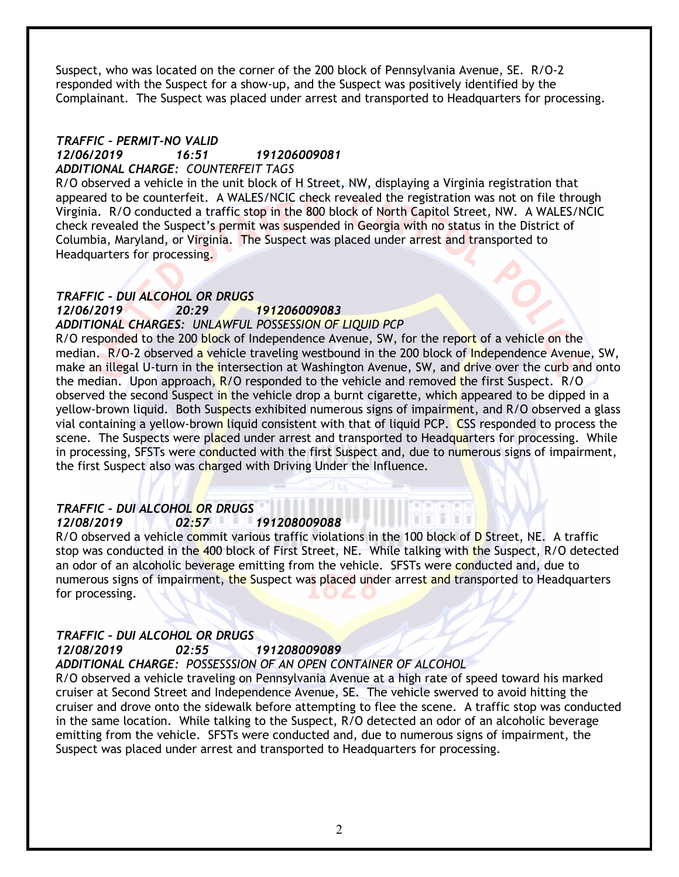Suspect, who was located on the corner of the 200 block of Pennsylvania Avenue, SE. R/O-2 responded with the Suspect for a show-up, and the Suspect was positively identified by the Complainant. The Suspect was placed under arrest and transported to Headquarters for processing.

#### *TRAFFIC – PERMIT-NO VALID 12/06/2019 16:51 191206009081 ADDITIONAL CHARGE: COUNTERFEIT TAGS*

R/O observed a vehicle in the unit block of H Street, NW, displaying a Virginia registration that appeared to be counterfeit. A WALES/NCIC check revealed the registration was not on file through Virginia. R/O conducted a traffic stop in the 800 block of North Capitol Street, NW. A WALES/NCIC check revealed the Suspect's permit was suspended in Georgia with no status in the District of Columbia, Maryland, or Virginia. The Suspect was placed under arrest and transported to Headquarters for processing.

# *TRAFFIC – DUI ALCOHOL OR DRUGS*

#### *12/06/2019 20:29 191206009083 ADDITIONAL CHARGES: UNLAWFUL POSSESSION OF LIQUID PCP*

R/O responded to the 200 block of Independence Avenue, SW, for the report of a vehicle on the median. R/O-2 observed a vehicle traveling westbound in the 200 block of Independence Avenue, SW, make an illegal U-turn in the intersection at Washington Avenue, SW, and drive over the curb and onto the median. Upon approach, R/O responded to the vehicle and removed the first Suspect. R/O observed the second Suspect in the vehicle drop a burnt cigarette, which appeared to be dipped in a yellow-brown liquid. Both Suspects exhibited numerous signs of impairment, and R/O observed a glass vial containing a yellow-brown liquid consistent with that of liquid PCP. CSS responded to process the scene. The Suspects were placed under arrest and transported to Headquarters for processing. While in processing, SFSTs were conducted with the first Suspect and, due to numerous signs of impairment, the first Suspect also was charged with Driving Under the Influence.

#### *TRAFFIC – DUI ALCOHOL OR DRUGS 12/08/2019 02:57 191208009088*

R/O observed a vehicle commit various traffic violations in the 100 block of D Street, NE. A traffic stop was conducted in the 400 block of First Street, NE. While talking with the Suspect, R/O detected an odor of an alcoholic beverage emitting from the vehicle. SFSTs were conducted and, due to numerous signs of impairment, the Suspect was placed under arrest and transported to Headquarters for processing.

# *TRAFFIC – DUI ALCOHOL OR DRUGS 12/08/2019 02:55 191208009089*

# *ADDITIONAL CHARGE: POSSESSSION OF AN OPEN CONTAINER OF ALCOHOL*

R/O observed a vehicle traveling on Pennsylvania Avenue at a high rate of speed toward his marked cruiser at Second Street and Independence Avenue, SE. The vehicle swerved to avoid hitting the cruiser and drove onto the sidewalk before attempting to flee the scene. A traffic stop was conducted in the same location. While talking to the Suspect, R/O detected an odor of an alcoholic beverage emitting from the vehicle. SFSTs were conducted and, due to numerous signs of impairment, the Suspect was placed under arrest and transported to Headquarters for processing.